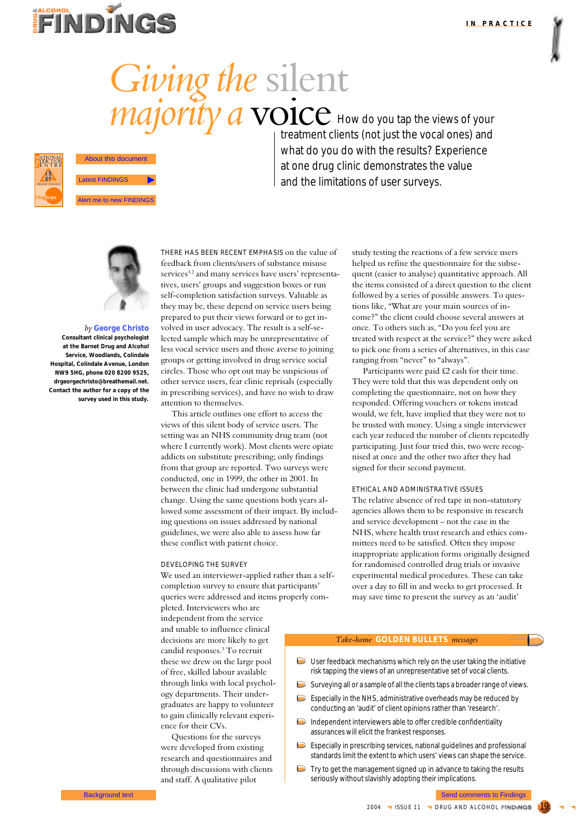

# *Giving the* silent *majority a* voice How do you tap the views of your



© Drug and Alcohol Findings and the authors 2004

treatment clients (not just the vocal ones) and what do you do with the results? Experience at one drug clinic demonstrates the value and the limitations of user surveys.



### *by* **George Christo**

**Consultant clinical psychologist at the Barnet Drug and Alcohol Service, Woodlands, Colindale Hospital, Colindale Avenue, London NW9 5HG, phone 020 8200 9525, drgeorgechristo@breathemail.net. Contact the author for a copy of the survey used in this study.**

THERE HAS BEEN RECENT EMPHASIS on the value of feedback from clients/users of substance misuse services<sup>12</sup> and many services have users' representatives, users' groups and suggestion boxes or run self-completion satisfaction surveys. Valuable as they may be, these depend on service users being prepared to put their views forward or to get involved in user advocacy. The result is a self-selected sample which may be unrepresentative of less vocal service users and those averse to joining groups or getting involved in drug service social circles. Those who opt out may be suspicious of other service users, fear clinic reprisals (especially in prescribing services), and have no wish to draw attention to themselves. **Background text is a send of the sense to Finding Comments to Findings About the Send comments to Findings About the Send comments are new FINDINGS About the Comments are new FINDINGS About the Comments Comments are new** 

This article outlines one effort to access the views of this silent body of service users. The setting was an NHS community drug team (not where I currently work). Most clients were opiate addicts on substitute prescribing; only findings from that group are reported. Two surveys were conducted, one in 1999, the other in 2001. In between the clinic had undergone substantial change. Using the same questions both years allowed some assessment of their impact. By including questions on issues addressed by national guidelines, we were also able to assess how far these conflict with patient choice.

#### DEVELOPING THE SURVEY

independent from the service and unable to influence clinical decisions are more likely to get candid responses.3 To recruit these we drew on the large pool of free, skilled labour available through links with local psychology departments. Their undergraduates are happy to volunteer to gain clinically relevant experi-

ence for their CVs.

Questions for the surveys were developed from existing research and questionnaires and through discussions with clients and staff. A qualitative pilot

We used an interviewer-applied rather than a selfcompletion survey to ensure that participants' queries were addressed and items properly completed. Interviewers who are

helped us refine the questionnaire for the subsequent (easier to analyse) quantitative approach. All the items consisted of a direct question to the client followed by a series of possible answers. To questions like, "What are your main sources of income?" the client could choose several answers at once. To others such as, "Do you feel you are treated with respect at the service?" they were asked to pick one from a series of alternatives, in this case ranging from "never" to "always".

study testing the reactions of a few service users

Participants were paid £2 cash for their time. They were told that this was dependent only on completing the questionnaire, not on how they responded. Offering vouchers or tokens instead would, we felt, have implied that they were not to be trusted with money. Using a single interviewer each year reduced the number of clients repeatedly participating. Just four tried this, two were recognised at once and the other two after they had signed for their second payment.

#### ETHICAL AND ADMINISTRATIVE ISSUES

The relative absence of red tape in non-statutory agencies allows them to be responsive in research and service development – not the case in the NHS, where health trust research and ethics committees need to be satisfied. Often they impose inappropriate application forms originally designed for randomised controlled drug trials or invasive experimental medical procedures. These can take over a day to fill in and weeks to get processed. It may save time to present the survey as an 'audit'

#### *Take-home* **GOLDEN BULLETS** *messages*

- $\Box$  User feedback mechanisms which rely on the user taking the initiative risk tapping the views of an unrepresentative set of vocal clients.
- Surveying all or a sample of all the clients taps a broader range of views.
- $\triangleright$  Especially in the NHS, administrative overheads may be reduced by conducting an 'audit' of client opinions rather than 'research'.
- Independent interviewers able to offer credible confidentiality assurances will elicit the frankest responses.
- Especially in prescribing services, national guidelines and professional standards limit the extent to which users' views can shape the service.
- Try to get the management signed up in advance to taking the results seriously without slavishly adopting their implications.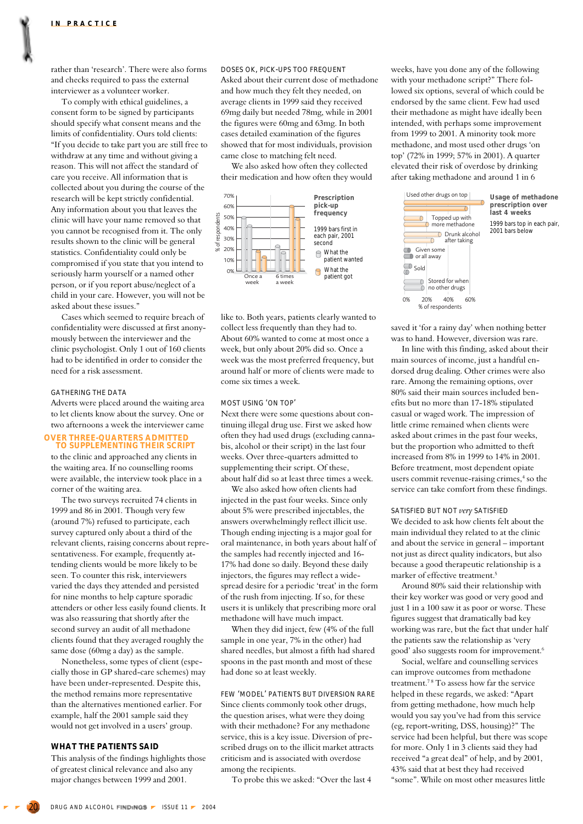rather than 'research'. There were also forms and checks required to pass the external interviewer as a volunteer worker.

To comply with ethical guidelines, a consent form to be signed by participants should specify what consent means and the limits of confidentiality. Ours told clients: "If you decide to take part you are still free to withdraw at any time and without giving a reason. This will not affect the standard of care you receive. All information that is collected about you during the course of the research will be kept strictly confidential. Any information about you that leaves the clinic will have your name removed so that you cannot be recognised from it. The only results shown to the clinic will be general statistics. Confidentiality could only be compromised if you state that you intend to seriously harm yourself or a named other person, or if you report abuse/neglect of a child in your care. However, you will not be asked about these issues."

Cases which seemed to require breach of confidentiality were discussed at first anonymously between the interviewer and the clinic psychologist. Only 1 out of 160 clients had to be identified in order to consider the need for a risk assessment.

#### GATHERING THE DATA

Adverts were placed around the waiting area to let clients know about the survey. One or two afternoons a week the interviewer came

## **OVER THREE-QUARTERS ADMITTED TO SUPPLEMENTING THEIR SCRIPT**

to the clinic and approached any clients in the waiting area. If no counselling rooms were available, the interview took place in a corner of the waiting area.

The two surveys recruited 74 clients in 1999 and 86 in 2001. Though very few (around 7%) refused to participate, each survey captured only about a third of the relevant clients, raising concerns about representativeness. For example, frequently attending clients would be more likely to be seen. To counter this risk, interviewers varied the days they attended and persisted for nine months to help capture sporadic attenders or other less easily found clients. It was also reassuring that shortly after the second survey an audit of all methadone clients found that they averaged roughly the same dose (60mg a day) as the sample.

Nonetheless, some types of client (especially those in GP shared-care schemes) may have been under-represented. Despite this, the method remains more representative than the alternatives mentioned earlier. For example, half the 2001 sample said they would not get involved in a users' group.

#### **WHAT THE PATIENTS SAID**

This analysis of the findings highlights those of greatest clinical relevance and also any major changes between 1999 and 2001.

DOSES OK, PICK-UPS TOO FREQUENT Asked about their current dose of methadone and how much they felt they needed, on average clients in 1999 said they received 69mg daily but needed 78mg, while in 2001 the figures were 60mg and 63mg. In both cases detailed examination of the figures showed that for most individuals, provision came close to matching felt need.

We also asked how often they collected their medication and how often they would



like to. Both years, patients clearly wanted to collect less frequently than they had to. About 60% wanted to come at most once a week, but only about 20% did so. Once a week was the most preferred frequency, but around half or more of clients were made to come six times a week.

#### MOST USING 'ON TOP'

Next there were some questions about continuing illegal drug use. First we asked how often they had used drugs (excluding cannabis, alcohol or their script) in the last four weeks. Over three-quarters admitted to supplementing their script. Of these, about half did so at least three times a week.

We also asked how often clients had injected in the past four weeks. Since only about 5% were prescribed injectables, the answers overwhelmingly reflect illicit use. Though ending injecting is a major goal for oral maintenance, in both years about half of the samples had recently injected and 16- 17% had done so daily. Beyond these daily injectors, the figures may reflect a widespread desire for a periodic 'treat' in the form of the rush from injecting. If so, for these users it is unlikely that prescribing more oral methadone will have much impact.

When they did inject, few (4% of the full sample in one year, 7% in the other) had shared needles, but almost a fifth had shared spoons in the past month and most of these had done so at least weekly.

FEW 'MODEL' PATIENTS BUT DIVERSION RARE Since clients commonly took other drugs, the question arises, what were they doing with their methadone? For any methadone service, this is a key issue. Diversion of prescribed drugs on to the illicit market attracts criticism and is associated with overdose among the recipients.

To probe this we asked: "Over the last 4

weeks, have you done any of the following with your methadone script?" There followed six options, several of which could be endorsed by the same client. Few had used their methadone as might have ideally been intended, with perhaps some improvement from 1999 to 2001. A minority took more methadone, and most used other drugs 'on top' (72% in 1999; 57% in 2001). A quarter elevated their risk of overdose by drinking after taking methadone and around 1 in 6



**Usage of methadone prescription over last 4 weeks** 1999 bars top in each pair, 2001 bars below

saved it 'for a rainy day' when nothing better was to hand. However, diversion was rare.

In line with this finding, asked about their main sources of income, just a handful endorsed drug dealing. Other crimes were also rare. Among the remaining options, over 80% said their main sources included benefits but no more than 17-18% stipulated casual or waged work. The impression of little crime remained when clients were asked about crimes in the past four weeks, but the proportion who admitted to theft increased from 8% in 1999 to 14% in 2001. Before treatment, most dependent opiate users commit revenue-raising crimes,<sup>4</sup> so the service can take comfort from these findings.

#### SATISFIED BUT NOT *very* SATISFIED

We decided to ask how clients felt about the main individual they related to at the clinic and about the service in general – important not just as direct quality indicators, but also because a good therapeutic relationship is a marker of effective treatment.5

Around 80% said their relationship with their key worker was good or very good and just 1 in a 100 saw it as poor or worse. These figures suggest that dramatically bad key working was rare, but the fact that under half the patients saw the relationship as 'very good' also suggests room for improvement.6

Social, welfare and counselling services can improve outcomes from methadone treatment.<sup>78</sup> To assess how far the service helped in these regards, we asked: "Apart from getting methadone, how much help would you say you've had from this service (eg, report-writing, DSS, housing)?" The service had been helpful, but there was scope for more. Only 1 in 3 clients said they had received "a great deal" of help, and by 2001, 43% said that at best they had received "some". While on most other measures little